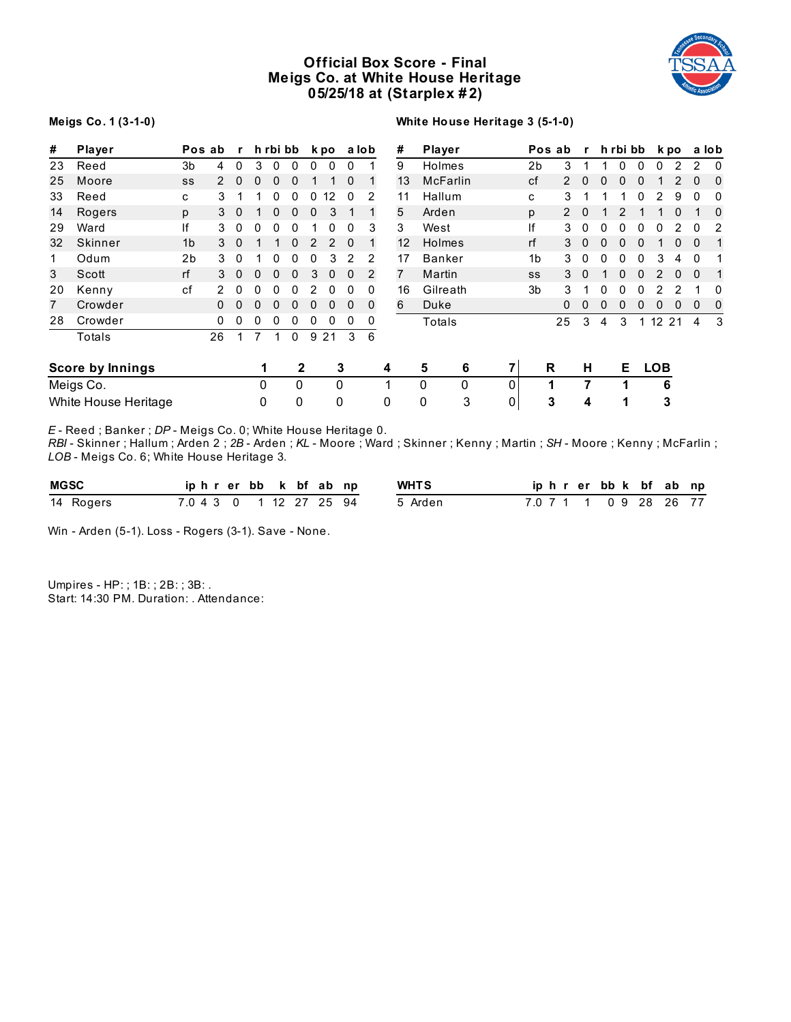# **Official Box Score - Final Meigs Co. at White House Heritage 05/25/18 at (Starplex # 2)**



#### **Meigs Co. 1 (3-1-0)**

## **White House Heritage 3 (5-1-0)**

| #  | Player                  |                | Pos ab         | $\mathbf{r}$ |   | h rbi bb |          |               | k po           |          | a lob          | #              |    | Player          |          |                | Pos ab         | r        |   | h rbi bb |   |                   | k po |              | a lob        |
|----|-------------------------|----------------|----------------|--------------|---|----------|----------|---------------|----------------|----------|----------------|----------------|----|-----------------|----------|----------------|----------------|----------|---|----------|---|-------------------|------|--------------|--------------|
| 23 | Reed                    | 3 <sub>b</sub> | $\overline{4}$ | 0            | 3 | 0        | 0        | 0             | 0              | 0        |                | 9              |    | Holmes          |          | 2b             | 3              |          |   | N        | 0 | ი                 |      | 2            | 0            |
| 25 | Moore                   | SS             | $\mathcal{P}$  | 0            | 0 | 0        | 0        |               |                | 0        |                |                | 13 | <b>McFarlin</b> |          | cf             | $\overline{2}$ |          |   |          |   |                   |      | 0            | 0            |
| 33 | Reed                    | C              | 3              |              |   | 0        | 0        | 0             | 2              | 0        | 2              | 11             |    | Hallum          |          | c              | 3              |          |   |          |   |                   | 9    | 0            | 0            |
| 14 | Rogers                  | p              | 3              | $\Omega$     |   | 0        | 0        | 0             | 3              |          |                | 5              |    | Arden           |          | p              | $\overline{2}$ | $\Omega$ |   |          |   |                   | 0    |              | 0            |
| 29 | Ward                    | ١f             | 3              | 0            | 0 | 0        | 0        |               | 0              | 0        | 3              | 3              |    | West            |          | lf             | 3              | $\Omega$ | 0 | 0        | 0 | 0                 | 2    | 0            | 2            |
| 32 | Skinner                 | 1 <sub>b</sub> | 3              | $\mathbf{0}$ |   |          | 0        | $\mathcal{P}$ | $\overline{2}$ | $\Omega$ |                |                | 12 | <b>Holmes</b>   |          | rf             | 3              | $\Omega$ | 0 | 0        | 0 |                   | 0    | $\mathbf{0}$ | $\mathbf{1}$ |
| 1  | Odum                    | 2 <sub>b</sub> | 3              | 0            |   | O        | O        | 0             | 3              | 2        | 2              | 17             |    | <b>Banker</b>   |          | 1 <sub>b</sub> | 3              |          |   |          |   | 3                 | 4    | 0            |              |
| 3  | Scott                   | rf             | 3              | 0            | 0 | 0        | 0        | 3             |                | $\Omega$ | $\overline{2}$ | $\overline{7}$ |    | Martin          |          | SS             | 3              |          |   |          |   |                   | 0    | $\Omega$     | $\mathbf{1}$ |
| 20 | Kenny                   | cf             |                | 0            | 0 | 0        | 0        |               |                | 0        | 0              |                | 16 | Gilreath        |          | 3b             | 3              |          |   |          |   |                   |      |              | 0            |
| 7  | Crowder                 |                | $\Omega$       | $\Omega$     | 0 | 0        | 0        | 0             | 0              | $\Omega$ | 0              | 6              |    | Duke            |          |                | $\Omega$       | $\Omega$ | O |          | 0 | 0                 | 0    | 0            | 0            |
| 28 | Crowder                 |                | 0              | 0            | 0 | 0        | 0        | 0             | 0              | 0        | 0              |                |    | Totals          |          |                | 25             | 3        | 4 | 3        |   | $12 \overline{ }$ | 21   | 4            | 3            |
|    | Totals                  |                | 26             |              |   | 1        | $\Omega$ | 9             | 21             | 3        | 6              |                |    |                 |          |                |                |          |   |          |   |                   |      |              |              |
|    | <b>Score by Innings</b> |                |                |              |   |          | 2        |               |                | 3        |                | 4              |    | 5<br>6          |          |                | R              | н        |   | Е        |   | <b>LOB</b>        |      |              |              |
|    | Meigs Co.               |                |                |              | 0 |          | 0        |               | 0              |          |                | 1              |    | $\Omega$<br>0   | $\Omega$ |                | 1              | 7        |   |          |   | 6                 |      |              |              |
|    | White House Heritage    |                |                |              | 0 |          | 0        |               | 0              |          |                | 0              |    | 3<br>0          | 0        |                | 3              | 4        |   | 1        |   | 3                 |      |              |              |

*E* - Reed ; Banker ; *DP* - Meigs Co. 0; White House Heritage 0.

*RBI* - Skinner ; Hallum ; Arden 2 ; *2B* - Arden ; *KL* - Moore ; Ward ; Skinner ; Kenny ; Martin ; *SH* - Moore ; Kenny ; McFarlin ; *LOB* - Meigs Co. 6; White House Heritage 3.

| <b>MGSC</b> | iphrerbb k bf ab np     |  |  |  | <b>WHTS</b> |  | iphrerbbk bf ab np     |  |  |
|-------------|-------------------------|--|--|--|-------------|--|------------------------|--|--|
| 14 Rogers   | 7.0 4 3 0 1 12 27 25 94 |  |  |  | 5 Arden     |  | 7.0 7 1 1 0 9 28 26 77 |  |  |

Win - Arden (5-1). Loss - Rogers (3-1). Save - None.

Umpires - HP: ; 1B: ; 2B: ; 3B: . Start: 14:30 PM. Duration: . Attendance: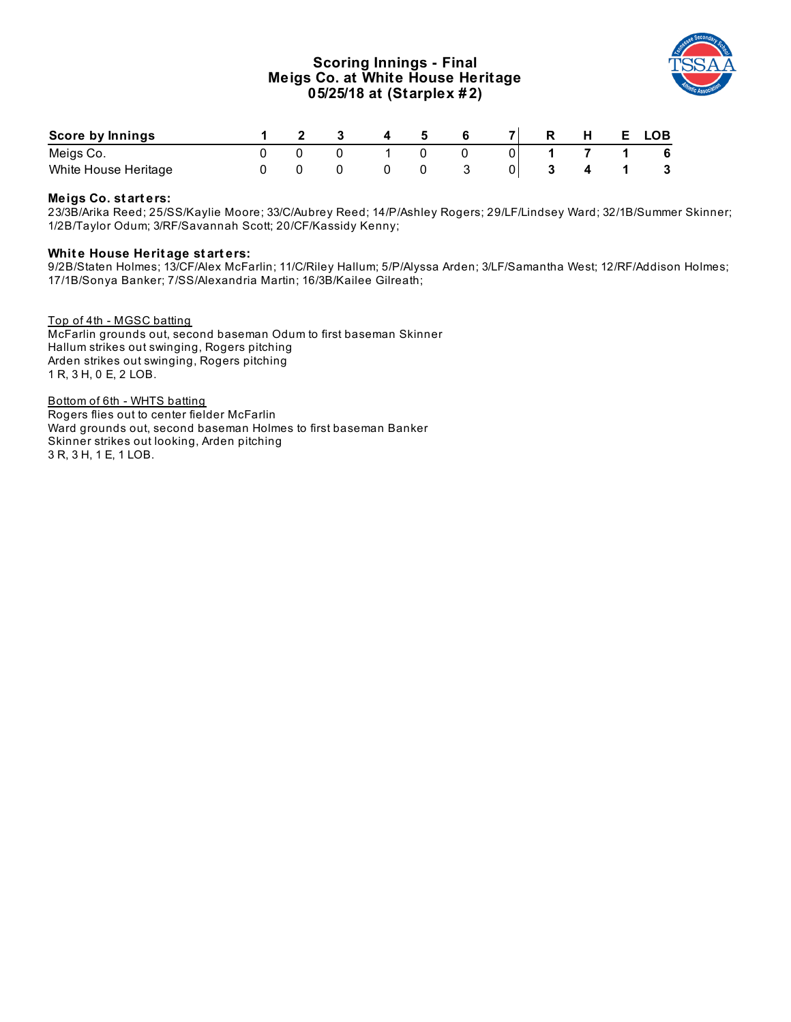# **Scoring Innings - Final Meigs Co. at White House Heritage 05/25/18 at (Starplex # 2)**



| Score by Innings     |  |  |  |  |  | <b>LOB</b> |
|----------------------|--|--|--|--|--|------------|
| Meigs Co.            |  |  |  |  |  |            |
| White House Heritage |  |  |  |  |  |            |

## **Meigs Co. st art ers:**

23/3B/Arika Reed; 25/SS/Kaylie Moore; 33/C/Aubrey Reed; 14/P/Ashley Rogers; 29/LF/Lindsey Ward; 32/1B/Summer Skinner; 1/2B/Taylor Odum; 3/RF/Savannah Scott; 20/CF/Kassidy Kenny;

#### **Whit e House Herit age st art ers:**

9/2B/Staten Holmes; 13/CF/Alex McFarlin; 11/C/Riley Hallum; 5/P/Alyssa Arden; 3/LF/Samantha West; 12/RF/Addison Holmes; 17/1B/Sonya Banker; 7/SS/Alexandria Martin; 16/3B/Kailee Gilreath;

Top of 4th - MGSC batting McFarlin grounds out, second baseman Odum to first baseman Skinner Hallum strikes out swinging, Rogers pitching Arden strikes out swinging, Rogers pitching 1 R, 3 H, 0 E, 2 LOB.

Bottom of 6th - WHTS batting Rogers flies out to center fielder McFarlin Ward grounds out, second baseman Holmes to first baseman Banker Skinner strikes out looking, Arden pitching 3 R, 3 H, 1 E, 1 LOB.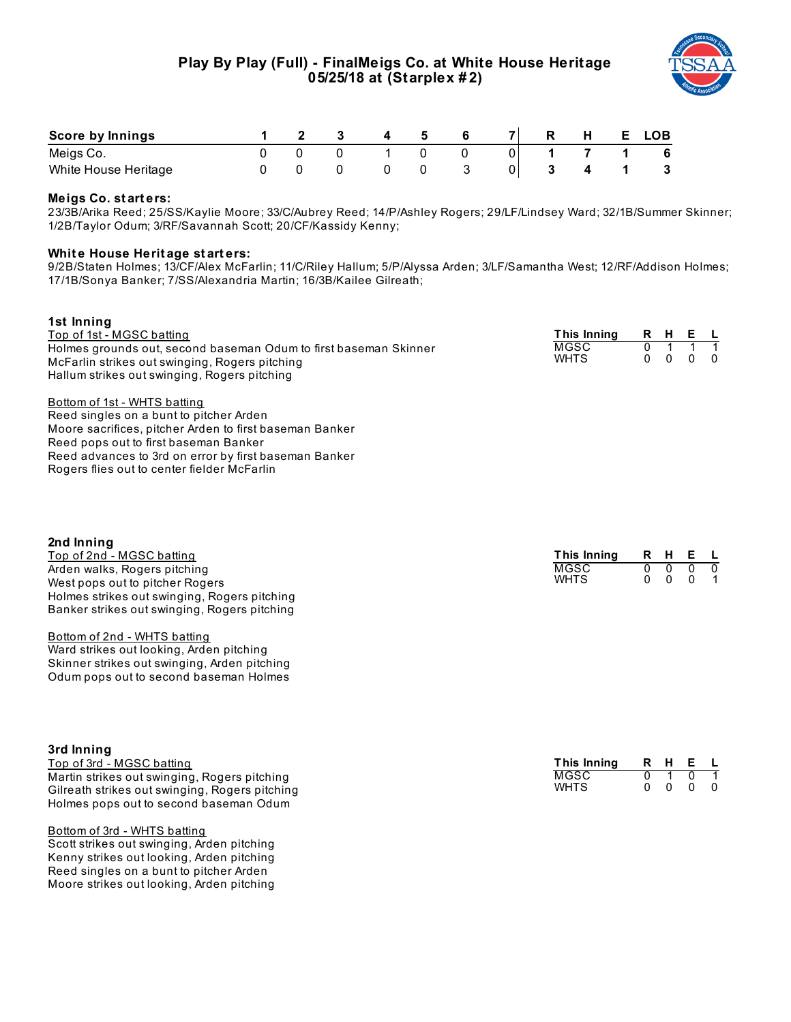

| Score by Innings     |  |  |  |  | E. | <b>LOB</b> |
|----------------------|--|--|--|--|----|------------|
| Meigs Co.            |  |  |  |  |    | 6          |
| White House Heritage |  |  |  |  |    |            |

### **Meigs Co. st art ers:**

23/3B/Arika Reed; 25/SS/Kaylie Moore; 33/C/Aubrey Reed; 14/P/Ashley Rogers; 29/LF/Lindsey Ward; 32/1B/Summer Skinner; 1/2B/Taylor Odum; 3/RF/Savannah Scott; 20/CF/Kassidy Kenny;

### **Whit e House Herit age st art ers:**

9/2B/Staten Holmes; 13/CF/Alex McFarlin; 11/C/Riley Hallum; 5/P/Alyssa Arden; 3/LF/Samantha West; 12/RF/Addison Holmes; 17/1B/Sonya Banker; 7/SS/Alexandria Martin; 16/3B/Kailee Gilreath;

| 1st Inning<br>Top of 1st - MGSC batting<br>Holmes grounds out, second baseman Odum to first baseman Skinner<br>McFarlin strikes out swinging, Rogers pitching<br>Hallum strikes out swinging, Rogers pitching                                                                                                                                                                    | This Inning<br><b>MGSC</b><br><b>WHTS</b> | R<br>$\overline{0}$<br>$\mathbf{0}$ | H.<br>1<br>$\mathbf{0}$             | Е<br>1<br>0                     | <b>L</b><br>1<br>$\Omega$      |
|----------------------------------------------------------------------------------------------------------------------------------------------------------------------------------------------------------------------------------------------------------------------------------------------------------------------------------------------------------------------------------|-------------------------------------------|-------------------------------------|-------------------------------------|---------------------------------|--------------------------------|
| Bottom of 1st - WHTS batting<br>Reed singles on a bunt to pitcher Arden<br>Moore sacrifices, pitcher Arden to first baseman Banker<br>Reed pops out to first baseman Banker<br>Reed advances to 3rd on error by first baseman Banker<br>Rogers flies out to center fielder McFarlin                                                                                              |                                           |                                     |                                     |                                 |                                |
| 2nd Inning<br>Top of 2nd - MGSC batting<br>Arden walks, Rogers pitching<br>West pops out to pitcher Rogers<br>Holmes strikes out swinging, Rogers pitching<br>Banker strikes out swinging, Rogers pitching<br>Bottom of 2nd - WHTS batting<br>Ward strikes out looking, Arden pitching<br>Skinner strikes out swinging, Arden pitching<br>Odum pops out to second baseman Holmes | This Inning<br><b>MGSC</b><br><b>WHTS</b> | R<br>$\overline{0}$<br>0            | H<br>$\overline{0}$<br>$\mathbf{0}$ | Е<br>$\overline{0}$<br>$\Omega$ | $\overline{0}$<br>$\mathbf{1}$ |
| 3rd Inning<br>Top of 3rd - MGSC batting                                                                                                                                                                                                                                                                                                                                          | <b>This Inning</b>                        | R                                   | н                                   | Е                               |                                |

| TOD OF 510 - MGSC Datting                      | $\blacksquare$ |  |                          |  |
|------------------------------------------------|----------------|--|--------------------------|--|
| Martin strikes out swinging, Rogers pitching   | MGSC           |  | 0101                     |  |
| Gilreath strikes out swinging, Rogers pitching | <b>WHTS</b>    |  | $0\quad 0\quad 0\quad 0$ |  |
| Holmes pops out to second baseman Odum         |                |  |                          |  |

#### Bottom of 3rd - WHTS batting

Scott strikes out swinging, Arden pitching Kenny strikes out looking, Arden pitching Reed singles on a bunt to pitcher Arden Moore strikes out looking, Arden pitching